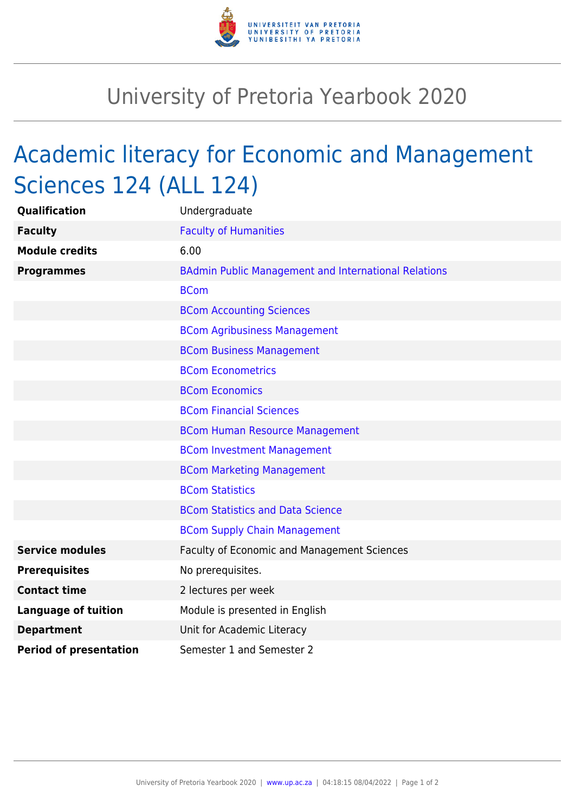

## University of Pretoria Yearbook 2020

## Academic literacy for Economic and Management Sciences 124 (ALL 124)

| <b>Qualification</b>          | Undergraduate                                               |
|-------------------------------|-------------------------------------------------------------|
| <b>Faculty</b>                | <b>Faculty of Humanities</b>                                |
| <b>Module credits</b>         | 6.00                                                        |
| <b>Programmes</b>             | <b>BAdmin Public Management and International Relations</b> |
|                               | <b>BCom</b>                                                 |
|                               | <b>BCom Accounting Sciences</b>                             |
|                               | <b>BCom Agribusiness Management</b>                         |
|                               | <b>BCom Business Management</b>                             |
|                               | <b>BCom Econometrics</b>                                    |
|                               | <b>BCom Economics</b>                                       |
|                               | <b>BCom Financial Sciences</b>                              |
|                               | <b>BCom Human Resource Management</b>                       |
|                               | <b>BCom Investment Management</b>                           |
|                               | <b>BCom Marketing Management</b>                            |
|                               | <b>BCom Statistics</b>                                      |
|                               | <b>BCom Statistics and Data Science</b>                     |
|                               | <b>BCom Supply Chain Management</b>                         |
| <b>Service modules</b>        | Faculty of Economic and Management Sciences                 |
| <b>Prerequisites</b>          | No prerequisites.                                           |
| <b>Contact time</b>           | 2 lectures per week                                         |
| <b>Language of tuition</b>    | Module is presented in English                              |
| <b>Department</b>             | Unit for Academic Literacy                                  |
| <b>Period of presentation</b> | Semester 1 and Semester 2                                   |